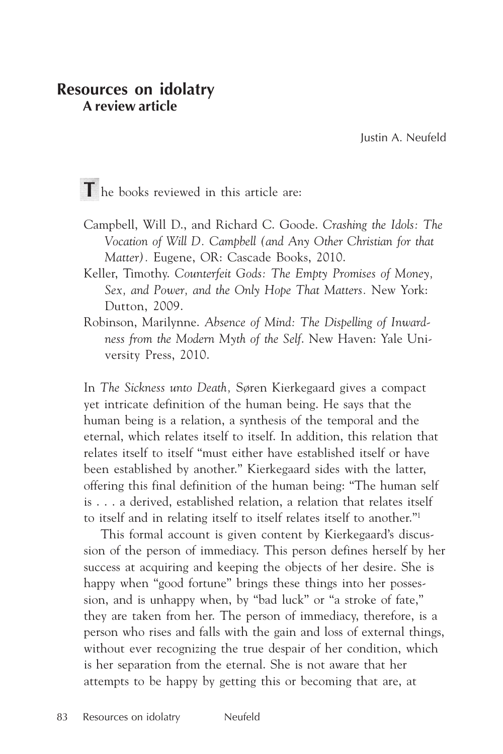# **Resources on idolatry A review article**

Justin A. Neufeld

T he books reviewed in this article are:

- Campbell, Will D., and Richard C. Goode. *Crashing the Idols: The Vocation of Will D. Campbell (and Any Other Christian for that Matter).* Eugene, OR: Cascade Books, 2010.
- Keller, Timothy. *Counterfeit Gods: The Empty Promises of Money, Sex, and Power, and the Only Hope That Matters.* New York: Dutton, 2009.
- Robinson, Marilynne. *Absence of Mind: The Dispelling of Inwardness from the Modern Myth of the Self*. New Haven: Yale University Press, 2010.

In *The Sickness unto Death,* Søren Kierkegaard gives a compact yet intricate definition of the human being. He says that the human being is a relation, a synthesis of the temporal and the eternal, which relates itself to itself. In addition, this relation that relates itself to itself "must either have established itself or have been established by another." Kierkegaard sides with the latter, offering this final definition of the human being: "The human self is . . . a derived, established relation, a relation that relates itself to itself and in relating itself to itself relates itself to another."1

This formal account is given content by Kierkegaard's discussion of the person of immediacy. This person defines herself by her success at acquiring and keeping the objects of her desire. She is happy when "good fortune" brings these things into her possession, and is unhappy when, by "bad luck" or "a stroke of fate," they are taken from her. The person of immediacy, therefore, is a person who rises and falls with the gain and loss of external things, without ever recognizing the true despair of her condition, which is her separation from the eternal. She is not aware that her attempts to be happy by getting this or becoming that are, at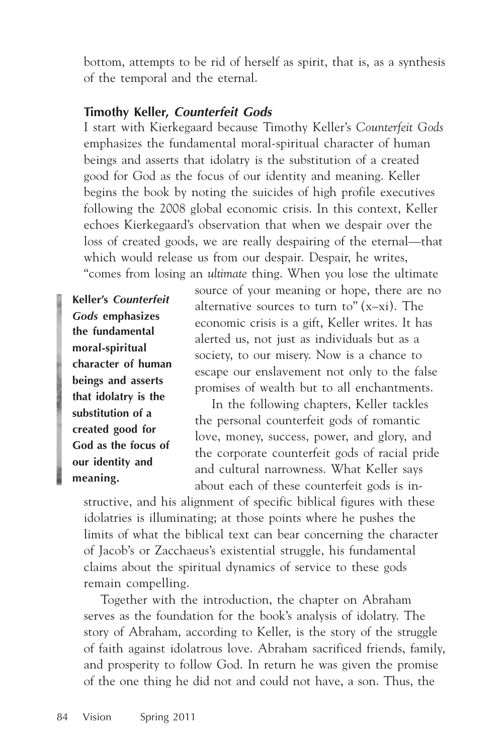bottom, attempts to be rid of herself as spirit, that is, as a synthesis of the temporal and the eternal.

### **Timothy Keller, Counterfeit Gods**

I start with Kierkegaard because Timothy Keller's *Counterfeit Gods* emphasizes the fundamental moral-spiritual character of human beings and asserts that idolatry is the substitution of a created good for God as the focus of our identity and meaning. Keller begins the book by noting the suicides of high profile executives following the 2008 global economic crisis. In this context, Keller echoes Kierkegaard's observation that when we despair over the loss of created goods, we are really despairing of the eternal—that which would release us from our despair. Despair, he writes, "comes from losing an *ultimate* thing. When you lose the ultimate

**Keller's** *Counterfeit Gods* **emphasizes the fundamental moral-spiritual character of human beings and asserts that idolatry is the substitution of a created good for God as the focus of our identity and meaning.**

source of your meaning or hope, there are no alternative sources to turn to"  $(x-xi)$ . The economic crisis is a gift, Keller writes. It has alerted us, not just as individuals but as a society, to our misery. Now is a chance to escape our enslavement not only to the false promises of wealth but to all enchantments.

In the following chapters, Keller tackles the personal counterfeit gods of romantic love, money, success, power, and glory, and the corporate counterfeit gods of racial pride and cultural narrowness. What Keller says about each of these counterfeit gods is in-

structive, and his alignment of specific biblical figures with these idolatries is illuminating; at those points where he pushes the limits of what the biblical text can bear concerning the character of Jacob's or Zacchaeus's existential struggle, his fundamental claims about the spiritual dynamics of service to these gods remain compelling.

Together with the introduction, the chapter on Abraham serves as the foundation for the book's analysis of idolatry. The story of Abraham, according to Keller, is the story of the struggle of faith against idolatrous love. Abraham sacrificed friends, family, and prosperity to follow God. In return he was given the promise of the one thing he did not and could not have, a son. Thus, the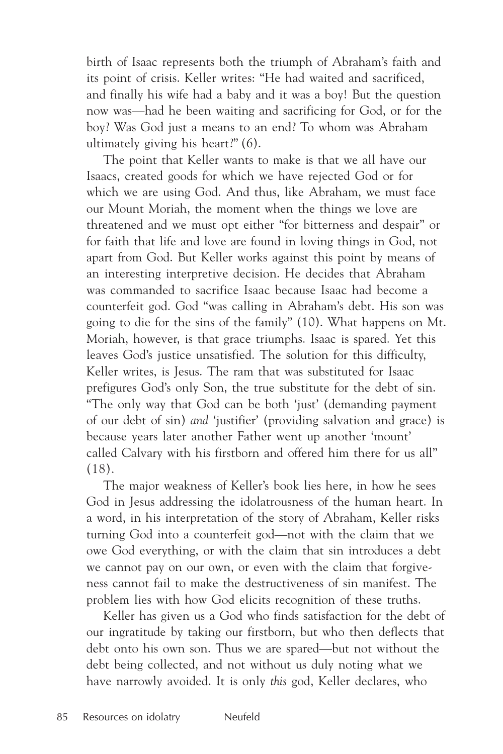birth of Isaac represents both the triumph of Abraham's faith and its point of crisis. Keller writes: "He had waited and sacrificed, and finally his wife had a baby and it was a boy! But the question now was—had he been waiting and sacrificing for God, or for the boy? Was God just a means to an end? To whom was Abraham ultimately giving his heart?" (6).

The point that Keller wants to make is that we all have our Isaacs, created goods for which we have rejected God or for which we are using God. And thus, like Abraham, we must face our Mount Moriah, the moment when the things we love are threatened and we must opt either "for bitterness and despair" or for faith that life and love are found in loving things in God, not apart from God. But Keller works against this point by means of an interesting interpretive decision. He decides that Abraham was commanded to sacrifice Isaac because Isaac had become a counterfeit god. God "was calling in Abraham's debt. His son was going to die for the sins of the family" (10). What happens on Mt. Moriah, however, is that grace triumphs. Isaac is spared. Yet this leaves God's justice unsatisfied. The solution for this difficulty, Keller writes, is Jesus. The ram that was substituted for Isaac prefigures God's only Son, the true substitute for the debt of sin. "The only way that God can be both 'just' (demanding payment of our debt of sin) *and* 'justifier' (providing salvation and grace) is because years later another Father went up another 'mount' called Calvary with his firstborn and offered him there for us all" (18).

The major weakness of Keller's book lies here, in how he sees God in Jesus addressing the idolatrousness of the human heart. In a word, in his interpretation of the story of Abraham, Keller risks turning God into a counterfeit god—not with the claim that we owe God everything, or with the claim that sin introduces a debt we cannot pay on our own, or even with the claim that forgiveness cannot fail to make the destructiveness of sin manifest. The problem lies with how God elicits recognition of these truths.

Keller has given us a God who finds satisfaction for the debt of our ingratitude by taking our firstborn, but who then deflects that debt onto his own son. Thus we are spared—but not without the debt being collected, and not without us duly noting what we have narrowly avoided. It is only *this* god, Keller declares, who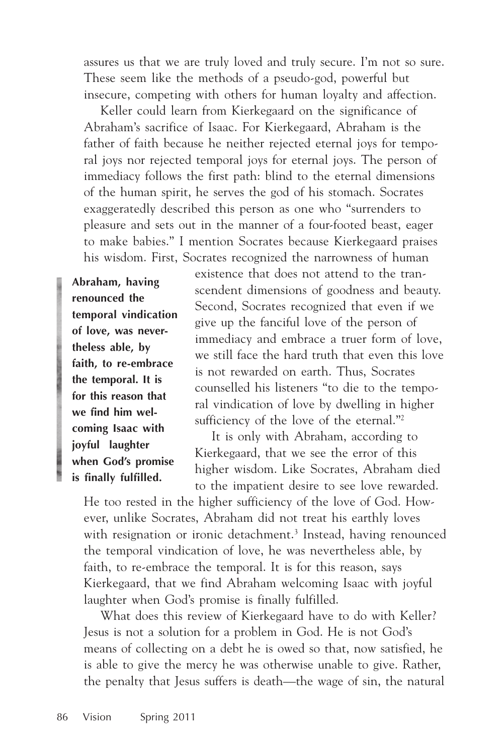assures us that we are truly loved and truly secure. I'm not so sure. These seem like the methods of a pseudo-god, powerful but insecure, competing with others for human loyalty and affection.

Keller could learn from Kierkegaard on the significance of Abraham's sacrifice of Isaac. For Kierkegaard, Abraham is the father of faith because he neither rejected eternal joys for temporal joys nor rejected temporal joys for eternal joys. The person of immediacy follows the first path: blind to the eternal dimensions of the human spirit, he serves the god of his stomach. Socrates exaggeratedly described this person as one who "surrenders to pleasure and sets out in the manner of a four-footed beast, eager to make babies." I mention Socrates because Kierkegaard praises his wisdom. First, Socrates recognized the narrowness of human

**Abraham, having renounced the temporal vindication of love, was nevertheless able, by faith, to re-embrace the temporal. It is for this reason that we find him welcoming Isaac with joyful laughter when God's promise is finally fulfilled.**

existence that does not attend to the transcendent dimensions of goodness and beauty. Second, Socrates recognized that even if we give up the fanciful love of the person of immediacy and embrace a truer form of love, we still face the hard truth that even this love is not rewarded on earth. Thus, Socrates counselled his listeners "to die to the temporal vindication of love by dwelling in higher sufficiency of the love of the eternal."<sup>2</sup>

It is only with Abraham, according to Kierkegaard, that we see the error of this higher wisdom. Like Socrates, Abraham died to the impatient desire to see love rewarded.

He too rested in the higher sufficiency of the love of God. However, unlike Socrates, Abraham did not treat his earthly loves with resignation or ironic detachment.<sup>3</sup> Instead, having renounced the temporal vindication of love, he was nevertheless able, by faith, to re-embrace the temporal. It is for this reason, says Kierkegaard, that we find Abraham welcoming Isaac with joyful laughter when God's promise is finally fulfilled.

What does this review of Kierkegaard have to do with Keller? Jesus is not a solution for a problem in God. He is not God's means of collecting on a debt he is owed so that, now satisfied, he is able to give the mercy he was otherwise unable to give. Rather, the penalty that Jesus suffers is death—the wage of sin, the natural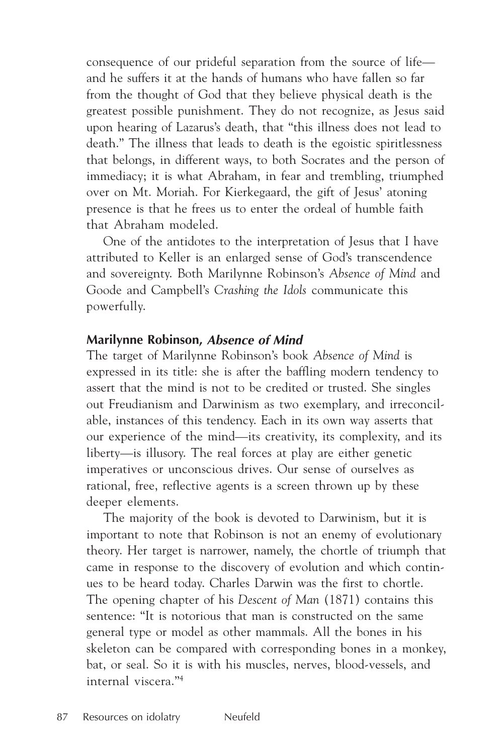consequence of our prideful separation from the source of life and he suffers it at the hands of humans who have fallen so far from the thought of God that they believe physical death is the greatest possible punishment. They do not recognize, as Jesus said upon hearing of Lazarus's death, that "this illness does not lead to death." The illness that leads to death is the egoistic spiritlessness that belongs, in different ways, to both Socrates and the person of immediacy; it is what Abraham, in fear and trembling, triumphed over on Mt. Moriah. For Kierkegaard, the gift of Jesus' atoning presence is that he frees us to enter the ordeal of humble faith that Abraham modeled.

One of the antidotes to the interpretation of Jesus that I have attributed to Keller is an enlarged sense of God's transcendence and sovereignty. Both Marilynne Robinson's *Absence of Mind* and Goode and Campbell's *Crashing the Idols* communicate this powerfully.

#### **Marilynne Robinson, Absence of Mind**

The target of Marilynne Robinson's book *Absence of Mind* is expressed in its title: she is after the baffling modern tendency to assert that the mind is not to be credited or trusted. She singles out Freudianism and Darwinism as two exemplary, and irreconcilable, instances of this tendency. Each in its own way asserts that our experience of the mind—its creativity, its complexity, and its liberty—is illusory. The real forces at play are either genetic imperatives or unconscious drives. Our sense of ourselves as rational, free, reflective agents is a screen thrown up by these deeper elements.

The majority of the book is devoted to Darwinism, but it is important to note that Robinson is not an enemy of evolutionary theory. Her target is narrower, namely, the chortle of triumph that came in response to the discovery of evolution and which continues to be heard today. Charles Darwin was the first to chortle. The opening chapter of his *Descent of Man* (1871) contains this sentence: "It is notorious that man is constructed on the same general type or model as other mammals. All the bones in his skeleton can be compared with corresponding bones in a monkey, bat, or seal. So it is with his muscles, nerves, blood-vessels, and internal viscera."4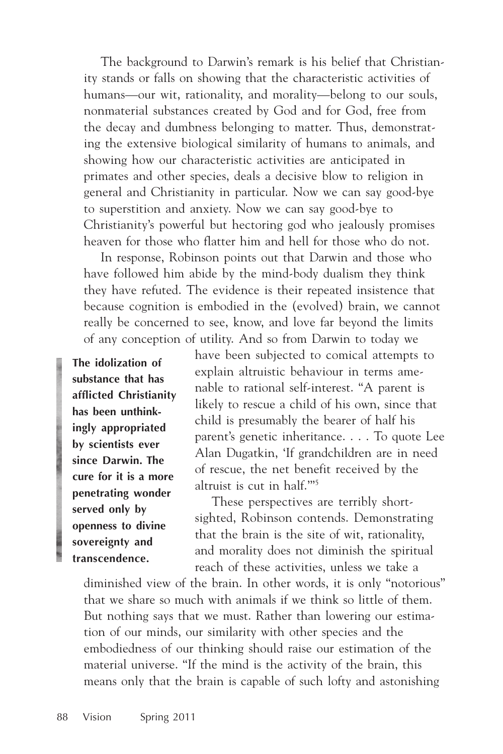The background to Darwin's remark is his belief that Christianity stands or falls on showing that the characteristic activities of humans—our wit, rationality, and morality—belong to our souls, nonmaterial substances created by God and for God, free from the decay and dumbness belonging to matter. Thus, demonstrating the extensive biological similarity of humans to animals, and showing how our characteristic activities are anticipated in primates and other species, deals a decisive blow to religion in general and Christianity in particular. Now we can say good-bye to superstition and anxiety. Now we can say good-bye to Christianity's powerful but hectoring god who jealously promises heaven for those who flatter him and hell for those who do not.

In response, Robinson points out that Darwin and those who have followed him abide by the mind-body dualism they think they have refuted. The evidence is their repeated insistence that because cognition is embodied in the (evolved) brain, we cannot really be concerned to see, know, and love far beyond the limits of any conception of utility. And so from Darwin to today we

**The idolization of substance that has afflicted Christianity has been unthinkingly appropriated by scientists ever since Darwin. The cure for it is a more penetrating wonder served only by openness to divine sovereignty and transcendence.**

have been subjected to comical attempts to explain altruistic behaviour in terms amenable to rational self-interest. "A parent is likely to rescue a child of his own, since that child is presumably the bearer of half his parent's genetic inheritance. . . . To quote Lee Alan Dugatkin, 'If grandchildren are in need of rescue, the net benefit received by the altruist is cut in half.'"5

These perspectives are terribly shortsighted, Robinson contends. Demonstrating that the brain is the site of wit, rationality, and morality does not diminish the spiritual reach of these activities, unless we take a

diminished view of the brain. In other words, it is only "notorious" that we share so much with animals if we think so little of them. But nothing says that we must. Rather than lowering our estimation of our minds, our similarity with other species and the embodiedness of our thinking should raise our estimation of the material universe. "If the mind is the activity of the brain, this means only that the brain is capable of such lofty and astonishing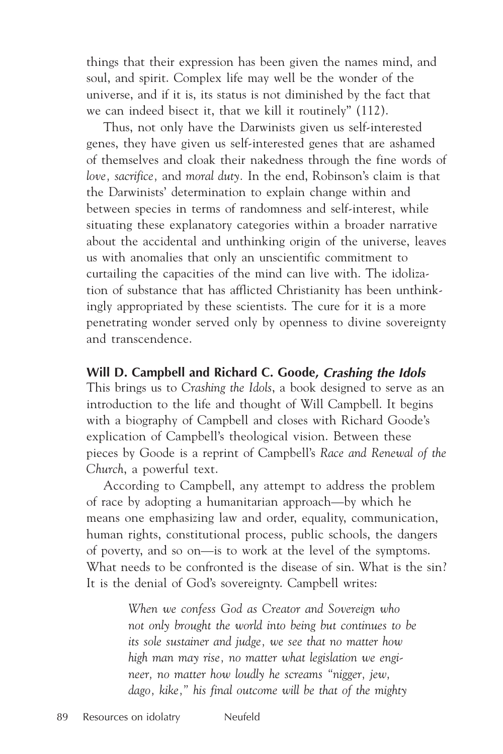things that their expression has been given the names mind, and soul, and spirit. Complex life may well be the wonder of the universe, and if it is, its status is not diminished by the fact that we can indeed bisect it, that we kill it routinely" (112).

Thus, not only have the Darwinists given us self-interested genes, they have given us self-interested genes that are ashamed of themselves and cloak their nakedness through the fine words of *love, sacrifice,* and *moral duty.* In the end, Robinson's claim is that the Darwinists' determination to explain change within and between species in terms of randomness and self-interest, while situating these explanatory categories within a broader narrative about the accidental and unthinking origin of the universe, leaves us with anomalies that only an unscientific commitment to curtailing the capacities of the mind can live with. The idolization of substance that has afflicted Christianity has been unthinkingly appropriated by these scientists. The cure for it is a more penetrating wonder served only by openness to divine sovereignty and transcendence.

#### **Will D. Campbell and Richard C. Goode, Crashing the Idols**

This brings us to *Crashing the Idols*, a book designed to serve as an introduction to the life and thought of Will Campbell. It begins with a biography of Campbell and closes with Richard Goode's explication of Campbell's theological vision. Between these pieces by Goode is a reprint of Campbell's *Race and Renewal of the Church*, a powerful text.

According to Campbell, any attempt to address the problem of race by adopting a humanitarian approach—by which he means one emphasizing law and order, equality, communication, human rights, constitutional process, public schools, the dangers of poverty, and so on—is to work at the level of the symptoms. What needs to be confronted is the disease of sin. What is the sin? It is the denial of God's sovereignty. Campbell writes:

> *When we confess God as Creator and Sovereign who not only brought the world into being but continues to be its sole sustainer and judge, we see that no matter how high man may rise, no matter what legislation we engineer, no matter how loudly he screams "nigger, jew, dago, kike," his final outcome will be that of the mighty*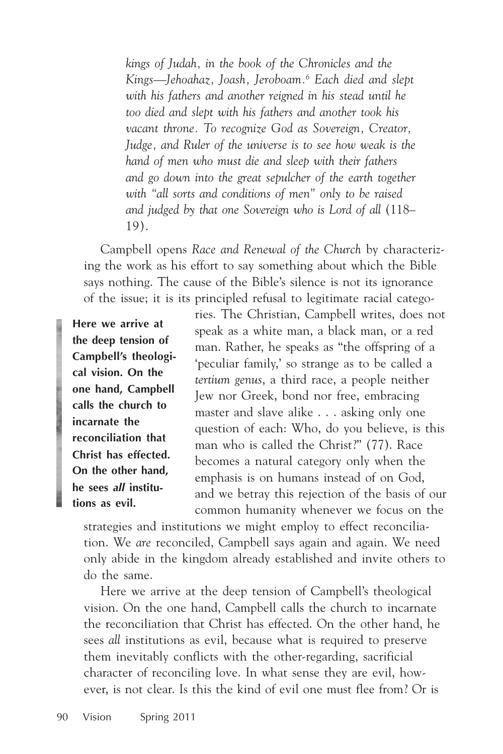*kings of Judah, in the book of the Chronicles and the Kings—Jehoahaz, Joash, Jeroboam.6 Each died and slept with his fathers and another reigned in his stead until he too died and slept with his fathers and another took his vacant throne. To recognize God as Sovereign, Creator, Judge, and Ruler of the universe is to see how weak is the hand of men who must die and sleep with their fathers and go down into the great sepulcher of the earth together with "all sorts and conditions of men" only to be raised and judged by that one Sovereign who is Lord of all* (118– 19).

Campbell opens *Race and Renewal of the Church* by characterizing the work as his effort to say something about which the Bible says nothing. The cause of the Bible's silence is not its ignorance of the issue; it is its principled refusal to legitimate racial catego-

**Here we arrive at the deep tension of Campbell's theological vision. On the one hand, Campbell calls the church to incarnate the reconciliation that Christ has effected. On the other hand, he sees** *all* **institutions as evil.**

ries. The Christian, Campbell writes, does not speak as a white man, a black man, or a red man. Rather, he speaks as "the offspring of a 'peculiar family,' so strange as to be called a *tertium genus*, a third race, a people neither Jew nor Greek, bond nor free, embracing master and slave alike . . . asking only one question of each: Who, do you believe, is this man who is called the Christ?" (77). Race becomes a natural category only when the emphasis is on humans instead of on God, and we betray this rejection of the basis of our common humanity whenever we focus on the

strategies and institutions we might employ to effect reconciliation. We *are* reconciled, Campbell says again and again. We need only abide in the kingdom already established and invite others to do the same.

Here we arrive at the deep tension of Campbell's theological vision. On the one hand, Campbell calls the church to incarnate the reconciliation that Christ has effected. On the other hand, he sees *all* institutions as evil, because what is required to preserve them inevitably conflicts with the other-regarding, sacrificial character of reconciling love. In what sense they are evil, however, is not clear. Is this the kind of evil one must flee from? Or is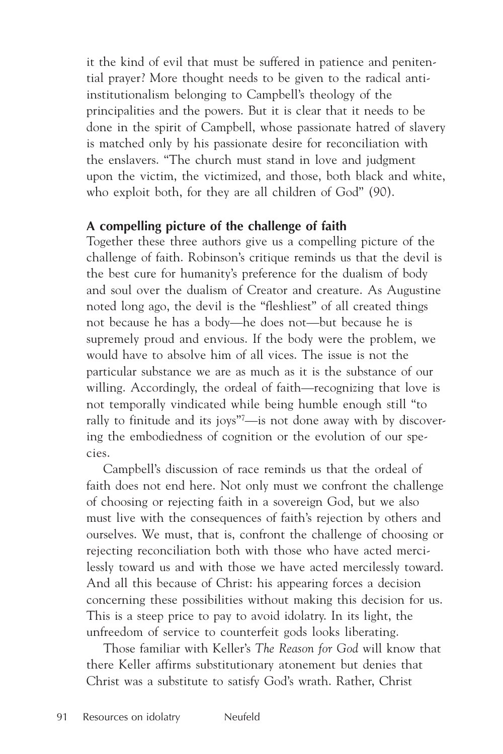it the kind of evil that must be suffered in patience and penitential prayer? More thought needs to be given to the radical antiinstitutionalism belonging to Campbell's theology of the principalities and the powers. But it is clear that it needs to be done in the spirit of Campbell, whose passionate hatred of slavery is matched only by his passionate desire for reconciliation with the enslavers. "The church must stand in love and judgment upon the victim, the victimized, and those, both black and white, who exploit both, for they are all children of God" (90).

### **A compelling picture of the challenge of faith**

Together these three authors give us a compelling picture of the challenge of faith. Robinson's critique reminds us that the devil is the best cure for humanity's preference for the dualism of body and soul over the dualism of Creator and creature. As Augustine noted long ago, the devil is the "fleshliest" of all created things not because he has a body—he does not—but because he is supremely proud and envious. If the body were the problem, we would have to absolve him of all vices. The issue is not the particular substance we are as much as it is the substance of our willing. Accordingly, the ordeal of faith—recognizing that love is not temporally vindicated while being humble enough still "to rally to finitude and its joys"7 —is not done away with by discovering the embodiedness of cognition or the evolution of our species.

Campbell's discussion of race reminds us that the ordeal of faith does not end here. Not only must we confront the challenge of choosing or rejecting faith in a sovereign God, but we also must live with the consequences of faith's rejection by others and ourselves. We must, that is, confront the challenge of choosing or rejecting reconciliation both with those who have acted mercilessly toward us and with those we have acted mercilessly toward. And all this because of Christ: his appearing forces a decision concerning these possibilities without making this decision for us. This is a steep price to pay to avoid idolatry. In its light, the unfreedom of service to counterfeit gods looks liberating.

Those familiar with Keller's *The Reason for God* will know that there Keller affirms substitutionary atonement but denies that Christ was a substitute to satisfy God's wrath. Rather, Christ